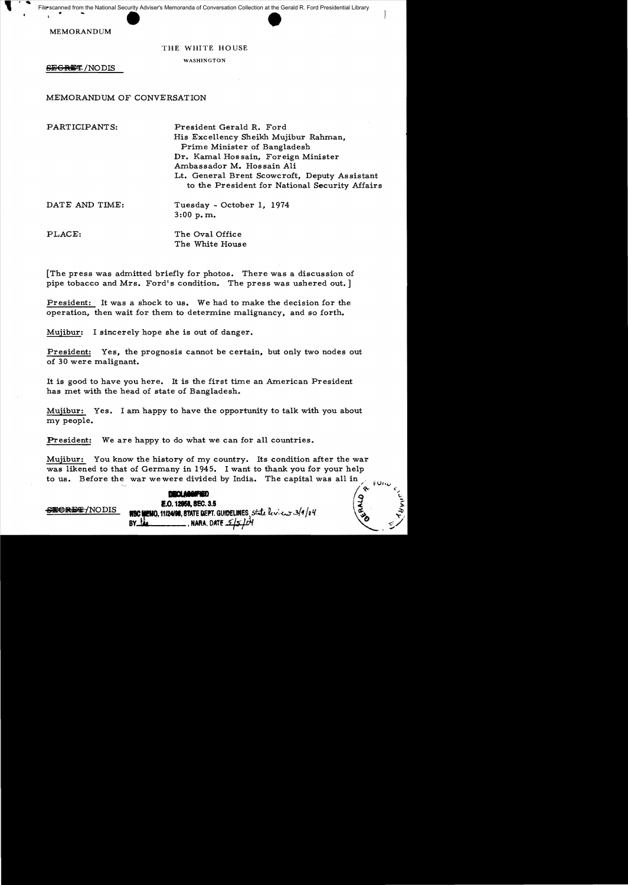Scanned from the National Security Adviser's Memoranda of Conversation Collection at the Gerald<br>MEMORANDUM<br>THE WHITE HOUSE File scanned from the National Security Adviser's Memoranda of Conversation Collection at the Gerald R. Ford Presidential Library

## THE WHITE HOUSE

WASHINGTON

SEGRET/NODIS

## MEMORANDUM OF CONVERSATION

PARTICIPANTS: President Gerald R. Ford His Excellency Sheikh Mujibur Rahman, Prime Minister of Bangladesh Dr. Kamal Hossain, Foreign Minister Ambassador M. Hossain Ali Lt. General Brent Scowcroft, Deputy Assistant to the President for National Security Affairs

 $\begin{matrix} \hat{\mathbf{e}} & \hat{\mathbf{e}} \ \mathbf{e} & \mathbf{e} \end{matrix}$ 

DATE AND TIME: Tuesday - October 1, 1974 3:00 p. m.

PLACE: The Oval Office The White House

[The press was admitted briefly for photos. There was a discussion of pipe tobacco and Mrs. Ford's condition. The press was ushered out. ]

President: It was a shock to us. We had to make the decision for the operation, then wait for them to determine malignancy, and so forth.

Mujibur: I sincerely hope she is out of danger.

President: Yes, the prognosis cannot be certain, but only two nodes out of 30 were malignant.

It is good to have you here. It is the first time an American President has met with the head of state of Bangladesh.

Mujibur: Yes. I am happy to have the opportunity to talk with you about my people.

President: We are happy to do what we can for all countries.

Mujibur: You know the history of my country. Its condition after the war was likened to that of Germany in 1945. I want to thank you for your help to us. Before the war we were divided by India. The capital was all in  $\mu_{\text{min}}$ 

**DECLANGIFIED 1.0.12958, SEC. 3.5**  $S$ ECREF/NODIS  $R$  . 112498, STATE DEPT. GUIDELINES state  $kv$ : $c$  3/4/04 BY· , MARA. DATe *(/.sJiH*  l>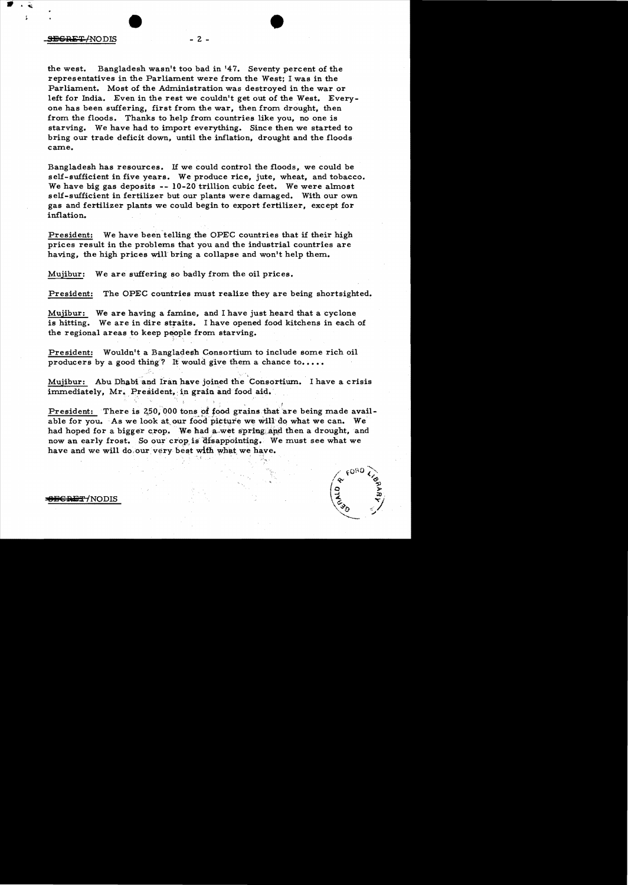the west. Bangladesh wasn't too bad in 147. Seventy percent of the representatives in the Parliament were from the West; I was in the Parliament. Most of the Administration was destroyed in the war or left for India. Even in the rest we couldn't get out of the West. Everyone has been suffering, first from the war, then from drought, then from the floods. Thanks to help from countries like you, no one is starving. We have had to import everything. Since then we started to bring our trade deficit down, until the inflation, drought and the floods came.

 $- 2 -$ 

•

Bangladesh has resources. If we could control the floods, we could be self-sufficient in five years. We produce rice, jute, wheat, and tobacco. We have big gas deposits --  $10-20$  trillion cubic feet. We were almost self-sufficient in fertilizer but our plants were damaged. With our own gas and fertilizer plants we could begin to export fertilizer, except for inflation.

President: We have been telling the OPEC countries that if their high prices result in the problems that you and the industrial countries are having, the high prices will bring a collapse and won't help them.

Mujibur: We are suffering so badly from the oil prices.

President: The OPEC countries must realize they are being shortsighted.

Mujibur: We are having a famine, and I have just heard that a cyclone is hitting. We are in dire straits. 1 have opened food kitchens in each of the regional areas to keep people from starving.

President: Wouldn't a Bangladesh Consortium to include some rich oil producers by a good thing? It would give them a chance to....

Mujibur: Abu Dhabi and Iran have joined the Consortium. I have a crisis immediately, Mr. President, in grain and food aid.

President: There is 250,000 tons of food grains that are being made available for you. As we look at our food picture we will do what we can. We had hoped for a bigger crop. We had a wet spring and then a drought, and now an early frost. So our crop is disappointing. We must see what we have and we will do, our very best with what we have.

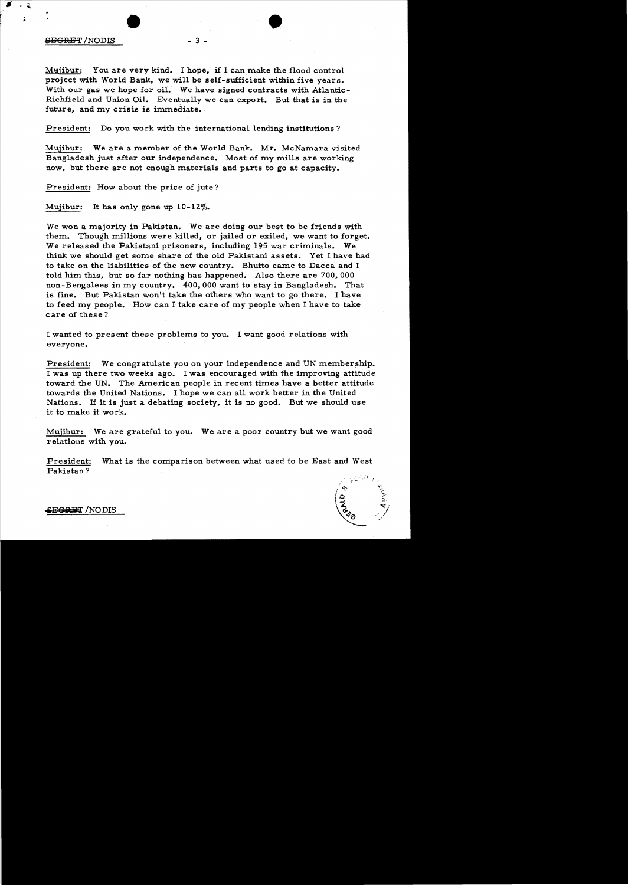## SilSGRET *INODIS* - 3 -

 $\hat{\bullet}$  $\ddot{\phantom{a}}$ 

> Mujibur: You are very kind. I hope, if I can make the flood control project with World Bank, we will be self-sufficient within five years. With our gas we hope for oil. We have signed contracts with Atlantic-Richfield and Union Oil. Eventually we can export. But that is in the future, and my crisis is immediate.

•

President: Do you work with the international lending institutions?

Mujibur: We are a member of the World Bank. Mr. McNamara visited Bangladesh just after our independence. Most of my mills are working now, but there are not enough materials and parts to go at capacity.

President: How about the price of jute?

Mujibur: It has only gone up 10-12%.

We won a majority in Pakistan. We are doing our best to be friends with them. Though millions were killed, or jailed or exiled, we want to forget. We released the Pakistani prisoners, including 195 war criminals. We think we should get some share of the old Pakistani assets. Yet I have had to take on the liabilities of the new country. Bhutto came to Dacca and I told him this, but so far nothing has happened. Also there are 700,000 non-Bengalees in my country. 400,000 want to stay in Bangladesh. That is fine. But Pakistan won't take the others who want to go there. I have to feed my people. How can I take care of my people when I have to take care of these?

I wanted to present these problems to you. I want good relations with everyone.

President: We congratulate you on your independence and UN membership. I was up there two weeks ago. I was encouraged with the improving attitude toward the UN. The American people in recent times have a better attitude towards the United Nations. I hope we can all work better in the United Nations. If it is just a debating society, it is no good. But we should use it to make it work.

Mujibur: We are grateful to you. We are a poor country but we want good relations with you.

President: What is the comparison between what used to be East and West Pakistan?

 $\alpha$  ,  $\beta$ t. "

**..13 e .\JilT** *INO*DIS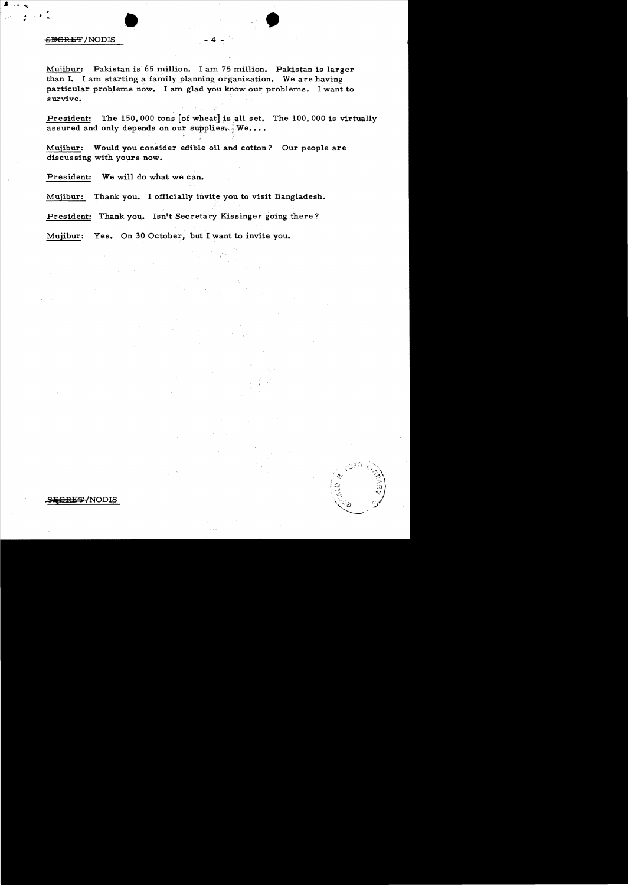## $\frac{1}{\text{BBRET/NODIS}}$  -4. <del>SECRET</del> /NODIS

..

Mujibur: Pakistan is 65 million. I am 75 million. Pakistan is larger than I. I am starting a family planning organization. We are having particular problems now. I am glad you know our problems. I want to survive.

President: The 150,000 tons [of wheat] is all set. The 100,000 is virtually assured and only depends on our supplies.  $W$ e....

Mujibur: Would you consider edible oil and cotton? Our people are discussing with yours now.

President: We will do what we can.

Mujibur: Thank you. I officially invite you to visit Bangladesh.

President: Thank you. Isn't Secretary Kjssinger going there?

Mujibur: Yes. On 30 October, but I want to invite you.

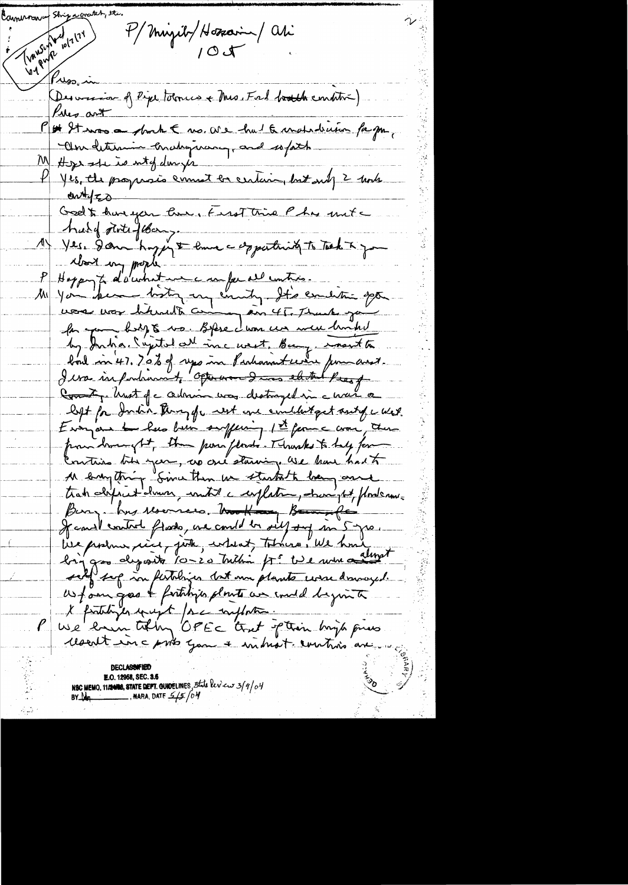Transferably 174 Cameron Ship a cro P/Migilt/Hospain / ali  $\beta$ Nso-Desversion of Rept tolonics + Mis. Fal booth condition) Pier ant P# It was a short E no. are hut & matrician for por,  $ewH_{Z0}$ Godt huryon lui, First time Phys unte A hald statefler, me copportant to Tech & Jan look my proph-P Hoppy & d'auchestie en faire entre. la jour biligte vo. Blue dans un meu limbe by Inha. Capital all inc west. Bury, months bout in 47. 70% of ups in Parlament were permanent. I was infortunant of otherward and elected the of Comment, hust p c admin was destroyed in a war a left for India through next are conditioned and of a west. Everyon to have been suffering 1st from a war, there pour lamonght, the pose floods. Thursdas to help for Contins the year, as one staring are have had to 11 empting Sime then we startath being and track definit demon, until a respection, demand pod forderme Bury hus resonnes. Nouth Bannetes lier produce, vice, juste, endeat, tahing, We have Jegas deposits 10-20 million fré tie en me almest self sop in fertiliges dat un plante corre donnaged. We fam good & fartilizes plants we under hymit l'fontifier qui et par inflata.  $\ell$ resent inc prits you a introst control are NSC MEMO, 11/2008, STATE DEPT. GUNDELINES, 5the leview 3/9/04<br>BY Ma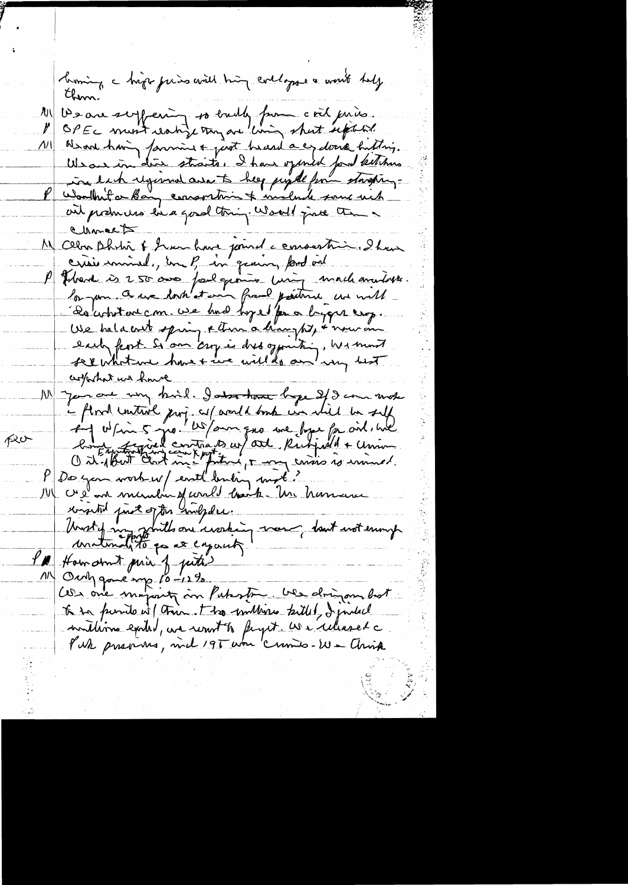homing a hip priso avil hing collages a went hely them. De are scyfering so builty from coil juins ЛJ\| . OPEC must realize trag are living shut septed.  $\mathcal{V}$ We are having farming & just heard a exclusive hutting.  $\Lambda$ We are in dire straits. I have opened for ketchen Wondhit or Bary consortion & include some wich ail produces his good thing. Would just the Chancet M celon Dhohri & Sur hui joinde encourtin dhou crisis minule, une P in genin, prod ont P Pland is 250 our fail grains wing mach anotors la pour ce une dort et en franc paintense une mette De cohitant com use hud hye for a bygger exp. We hald out spring & there a hanght, & nouvement each fent s'om argée dres gemitin, we mont cropportant we have N Janare un bil. Jako han bye 2/9 cm mote - And untive proj a (aout bont un mil de self peo-De you work w/ east buting mot?  $P_{\perp}$ 14 crée en munda et correl baite. Un hommer worsted first of the norther. Unity mystalls on usering mon, dont not enough I'M How armit prin of puts Outpgane mp 10-12%.<br>Ces me majoritz an Patroton, ver dringan bot  $\overline{u}$ to to punite wil this. I too multime tailed, I justed muillime exited, we want to fight. We illused a Pur previous, mel 195 um 'crimes-W- Chris